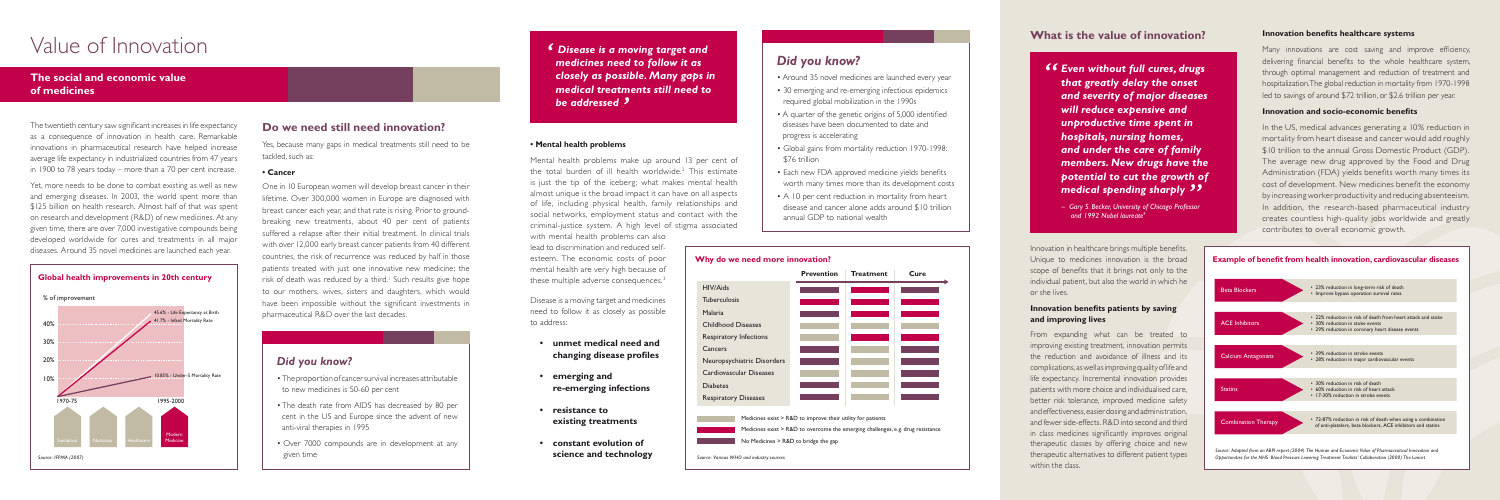#### **• Mental health problems**

with mental health problems can also lead to discrimination and reduced selfesteem. The economic costs of poor mental health are very high because of these multiple adverse consequences.<sup>3</sup>

Mental health problems make up around 13 per cent of the total burden of ill health worldwide.2 This estimate is just the tip of the iceberg; what makes mental health almost unique is the broad impact it can have on all aspects of life, including physical health, family relationships and social networks, employment status and contact with the criminal-justice system. A high level of stigma associated

Disease is a moving target and medicines need to follow it as closely as possible to address:

- **unmet medical need and changing disease profiles**
- **emerging and re-emerging infections**
- **resistance to existing treatments**
- **constant evolution of science and technology**



HIV/Aids **Tuberculosis** Malaria Childhood Diseases Respiratory Infections Cancers Neuropsychiatric Disorders Cardiovascular Diseases Diabetes Respiratory Diseases



Medicines exist > R&D to overcome the emerging challenges, e.g. drug resistance

Medicines exist > R&D to improve their utility for patients

No Medicines > R&D to bridge the gap

# Value of Innovation

From expanding what can be treated to improving existing treatment, innovation permits the reduction and avoidance of illness and its complications, as well as improving quality of life and life expectancy. Incremental innovation provides patients with more choice and individualised care, better risk tolerance, improved medicine safety and effectiveness, easier dosing and administration, and fewer side-effects. R&D into second and third in class medicines significantly improves original therapeutic classes by offering choice and new therapeutic alternatives to different patient types within the class.

The twentieth century saw significant increases in life expectancy as a consequence of innovation in health care. Remarkable innovations in pharmaceutical research have helped increase average life expectancy in industrialized countries from 47 years in 1900 to 78 years today – more than a 70 per cent increase.

Yet, more needs to be done to combat existing as well as new and emerging diseases. In 2003, the world spent more than \$125 billion on health research. Almost half of that was spent on research and development (R&D) of new medicines. At any given time, there are over 7,000 investigative compounds being developed worldwide for cures and treatments in all major diseases. Around 35 novel medicines are launched each year.

## **The social and economic value of medicines**

In the US, medical advances generating a 10% reduction in mortality from heart disease and cancer would add roughly \$10 trillion to the annual Gross Domestic Product (GDP). The average new drug approved by the Food and Drug Administration (FDA) yields benefits worth many times its cost of development. New medicines benefit the economy by increasing worker productivity and reducing absenteeism. In addition, the research-based pharmaceutical industry creates countless high-quality jobs worldwide and greatly contributes to overall economic growth.



#### **Global health improvements in 20th century**

#### **Why do we need more innovation?**

## **What is the value of innovation?**

Innovation in healthcare brings multiple benefits. Unique to medicines innovation is the broad scope of benefits that it brings not only to the individual patient, but also the world in which he or she lives.

#### **Innovation benefits patients by saving and improving lives**

#### **Innovation benefits healthcare systems**

Many innovations are cost saving and improve efficiency, delivering financial benefits to the whole healthcare system, through optimal management and reduction of treatment and hospitalization. The global reduction in mortality from 1970-1998 led to savings of around \$72 trillion, or \$2.6 trillion per year.

#### **Innovation and socio-economic benefits**

#### **Example of benefit from health innovation, cardiovascular diseases**

## **Do we need still need innovation?**

Yes, because many gaps in medical treatments still need to be tackled, such as:

#### **• Cancer**

One in 10 European women will develop breast cancer in their lifetime. Over 300,000 women in Europe are diagnosed with breast cancer each year, and that rate is rising. Prior to groundbreaking new treatments, about 40 per cent of patients suffered a relapse after their initial treatment. In clinical trials with over 12,000 early breast cancer patients from 40 different countries, the risk of recurrence was reduced by half in those patients treated with just one innovative new medicine; the risk of death was reduced by a third.<sup>1</sup> Such results give hope to our mothers, wives, sisters and daughters, which would have been impossible without the significant investments in pharmaceutical R&D over the last decades.

## *Did you know?*



- Around 35 novel medicines are launched every year
- 30 emerging and re-emerging infectious epidemics required global mobilization in the 1990s
- A quarter of the genetic origins of 5,000 identified diseases have been documented to date and progress is accelerating
- Global gains from mortality reduction 1970-1998: \$76 trillion
- Each new FDA approved medicine yields benefits worth many times more than its development costs
- A 10 per cent reduction in mortality from heart disease and cancer alone adds around \$10 trillion annual GDP to national wealth
- *" Even without full cures, drugs that greatly delay the onset and severity of major diseases will reduce expensive and unproductive time spent in hospitals, nursing homes, and under the care of family members. New drugs have the potential to cut the growth of*  **medical spending sharply ??**<br>
The Sary S. Becker, University of Chicago Professor
	- *Gary S. Becker, University of Chicago Professor and 1992 Nobel laureate4*

## *Did you know?*

- The proportion of cancer survival increases attributable to new medicines is 50-60 per cent
- The death rate from AIDS has decreased by 80 per cent in the US and Europe since the advent of new anti-viral therapies in 1995
- Over 7000 compounds are in development at any given time

*' Disease is a moving target and medicines need to follow it as closely as possible. Many gaps in medical treatments still need to be addressed '*

*Source: Various WHO and industry sources*